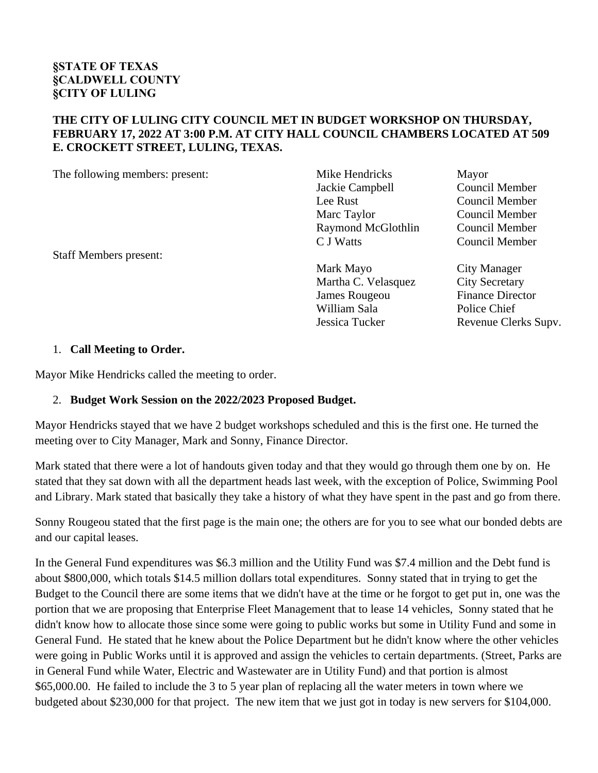## **§STATE OF TEXAS §CALDWELL COUNTY §CITY OF LULING**

### **THE CITY OF LULING CITY COUNCIL MET IN BUDGET WORKSHOP ON THURSDAY, FEBRUARY 17, 2022 AT 3:00 P.M. AT CITY HALL COUNCIL CHAMBERS LOCATED AT 509 E. CROCKETT STREET, LULING, TEXAS.**

The following members: present: Mike Hendricks Mayor Jackie Campbell Council Member Lee Rust Council Member Marc Taylor Council Member Raymond McGlothlin Council Member C J Watts Council Member Staff Members present: Mark Mayo City Manager Martha C. Velasquez City Secretary James Rougeou Finance Director William Sala Police Chief

Jessica Tucker Revenue Clerks Supv.

### 1. **Call Meeting to Order.**

Mayor Mike Hendricks called the meeting to order.

#### 2. **Budget Work Session on the 2022/2023 Proposed Budget.**

Mayor Hendricks stayed that we have 2 budget workshops scheduled and this is the first one. He turned the meeting over to City Manager, Mark and Sonny, Finance Director.

Mark stated that there were a lot of handouts given today and that they would go through them one by on. He stated that they sat down with all the department heads last week, with the exception of Police, Swimming Pool and Library. Mark stated that basically they take a history of what they have spent in the past and go from there.

Sonny Rougeou stated that the first page is the main one; the others are for you to see what our bonded debts are and our capital leases.

In the General Fund expenditures was \$6.3 million and the Utility Fund was \$7.4 million and the Debt fund is about \$800,000, which totals \$14.5 million dollars total expenditures. Sonny stated that in trying to get the Budget to the Council there are some items that we didn't have at the time or he forgot to get put in, one was the portion that we are proposing that Enterprise Fleet Management that to lease 14 vehicles, Sonny stated that he didn't know how to allocate those since some were going to public works but some in Utility Fund and some in General Fund. He stated that he knew about the Police Department but he didn't know where the other vehicles were going in Public Works until it is approved and assign the vehicles to certain departments. (Street, Parks are in General Fund while Water, Electric and Wastewater are in Utility Fund) and that portion is almost \$65,000.00. He failed to include the 3 to 5 year plan of replacing all the water meters in town where we budgeted about \$230,000 for that project. The new item that we just got in today is new servers for \$104,000.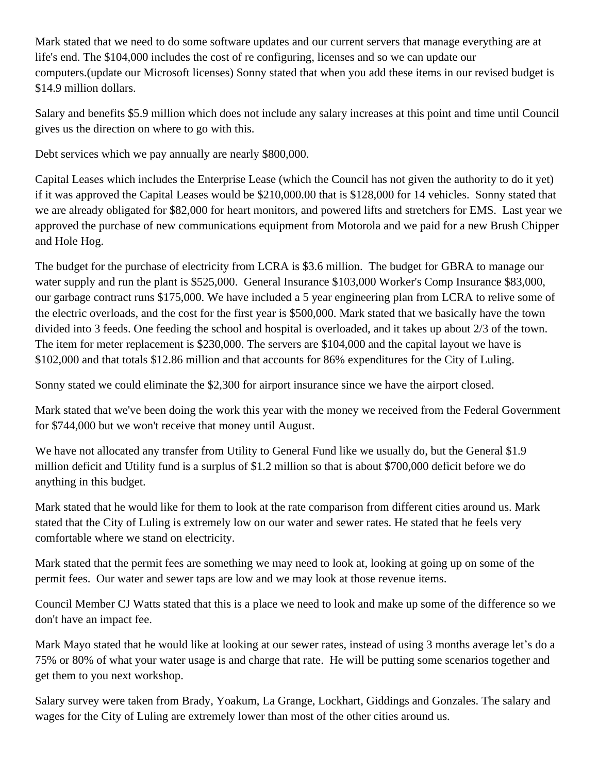Mark stated that we need to do some software updates and our current servers that manage everything are at life's end. The \$104,000 includes the cost of re configuring, licenses and so we can update our computers.(update our Microsoft licenses) Sonny stated that when you add these items in our revised budget is \$14.9 million dollars.

Salary and benefits \$5.9 million which does not include any salary increases at this point and time until Council gives us the direction on where to go with this.

Debt services which we pay annually are nearly \$800,000.

Capital Leases which includes the Enterprise Lease (which the Council has not given the authority to do it yet) if it was approved the Capital Leases would be \$210,000.00 that is \$128,000 for 14 vehicles. Sonny stated that we are already obligated for \$82,000 for heart monitors, and powered lifts and stretchers for EMS. Last year we approved the purchase of new communications equipment from Motorola and we paid for a new Brush Chipper and Hole Hog.

The budget for the purchase of electricity from LCRA is \$3.6 million. The budget for GBRA to manage our water supply and run the plant is \$525,000. General Insurance \$103,000 Worker's Comp Insurance \$83,000, our garbage contract runs \$175,000. We have included a 5 year engineering plan from LCRA to relive some of the electric overloads, and the cost for the first year is \$500,000. Mark stated that we basically have the town divided into 3 feeds. One feeding the school and hospital is overloaded, and it takes up about 2/3 of the town. The item for meter replacement is \$230,000. The servers are \$104,000 and the capital layout we have is \$102,000 and that totals \$12.86 million and that accounts for 86% expenditures for the City of Luling.

Sonny stated we could eliminate the \$2,300 for airport insurance since we have the airport closed.

Mark stated that we've been doing the work this year with the money we received from the Federal Government for \$744,000 but we won't receive that money until August.

We have not allocated any transfer from Utility to General Fund like we usually do, but the General \$1.9 million deficit and Utility fund is a surplus of \$1.2 million so that is about \$700,000 deficit before we do anything in this budget.

Mark stated that he would like for them to look at the rate comparison from different cities around us. Mark stated that the City of Luling is extremely low on our water and sewer rates. He stated that he feels very comfortable where we stand on electricity.

Mark stated that the permit fees are something we may need to look at, looking at going up on some of the permit fees. Our water and sewer taps are low and we may look at those revenue items.

Council Member CJ Watts stated that this is a place we need to look and make up some of the difference so we don't have an impact fee.

Mark Mayo stated that he would like at looking at our sewer rates, instead of using 3 months average let's do a 75% or 80% of what your water usage is and charge that rate. He will be putting some scenarios together and get them to you next workshop.

Salary survey were taken from Brady, Yoakum, La Grange, Lockhart, Giddings and Gonzales. The salary and wages for the City of Luling are extremely lower than most of the other cities around us.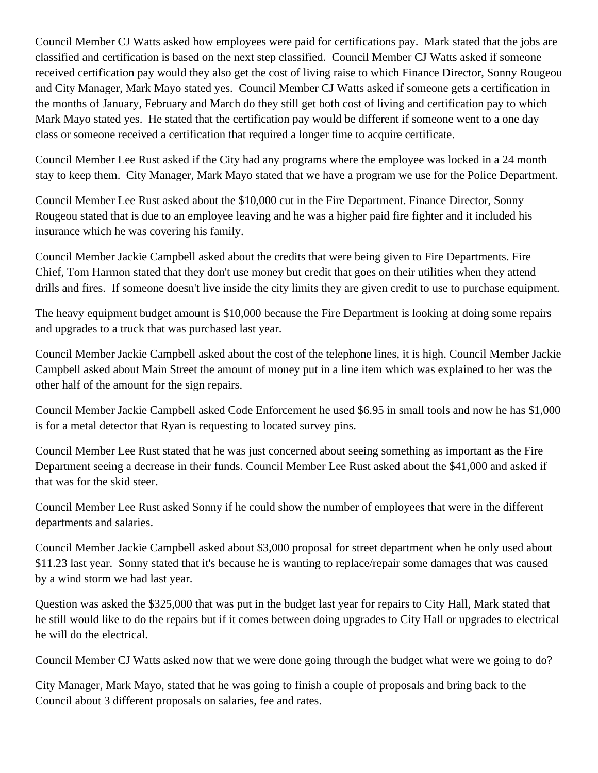Council Member CJ Watts asked how employees were paid for certifications pay. Mark stated that the jobs are classified and certification is based on the next step classified. Council Member CJ Watts asked if someone received certification pay would they also get the cost of living raise to which Finance Director, Sonny Rougeou and City Manager, Mark Mayo stated yes. Council Member CJ Watts asked if someone gets a certification in the months of January, February and March do they still get both cost of living and certification pay to which Mark Mayo stated yes. He stated that the certification pay would be different if someone went to a one day class or someone received a certification that required a longer time to acquire certificate.

Council Member Lee Rust asked if the City had any programs where the employee was locked in a 24 month stay to keep them. City Manager, Mark Mayo stated that we have a program we use for the Police Department.

Council Member Lee Rust asked about the \$10,000 cut in the Fire Department. Finance Director, Sonny Rougeou stated that is due to an employee leaving and he was a higher paid fire fighter and it included his insurance which he was covering his family.

Council Member Jackie Campbell asked about the credits that were being given to Fire Departments. Fire Chief, Tom Harmon stated that they don't use money but credit that goes on their utilities when they attend drills and fires. If someone doesn't live inside the city limits they are given credit to use to purchase equipment.

The heavy equipment budget amount is \$10,000 because the Fire Department is looking at doing some repairs and upgrades to a truck that was purchased last year.

Council Member Jackie Campbell asked about the cost of the telephone lines, it is high. Council Member Jackie Campbell asked about Main Street the amount of money put in a line item which was explained to her was the other half of the amount for the sign repairs.

Council Member Jackie Campbell asked Code Enforcement he used \$6.95 in small tools and now he has \$1,000 is for a metal detector that Ryan is requesting to located survey pins.

Council Member Lee Rust stated that he was just concerned about seeing something as important as the Fire Department seeing a decrease in their funds. Council Member Lee Rust asked about the \$41,000 and asked if that was for the skid steer.

Council Member Lee Rust asked Sonny if he could show the number of employees that were in the different departments and salaries.

Council Member Jackie Campbell asked about \$3,000 proposal for street department when he only used about \$11.23 last year. Sonny stated that it's because he is wanting to replace/repair some damages that was caused by a wind storm we had last year.

Question was asked the \$325,000 that was put in the budget last year for repairs to City Hall, Mark stated that he still would like to do the repairs but if it comes between doing upgrades to City Hall or upgrades to electrical he will do the electrical.

Council Member CJ Watts asked now that we were done going through the budget what were we going to do?

City Manager, Mark Mayo, stated that he was going to finish a couple of proposals and bring back to the Council about 3 different proposals on salaries, fee and rates.